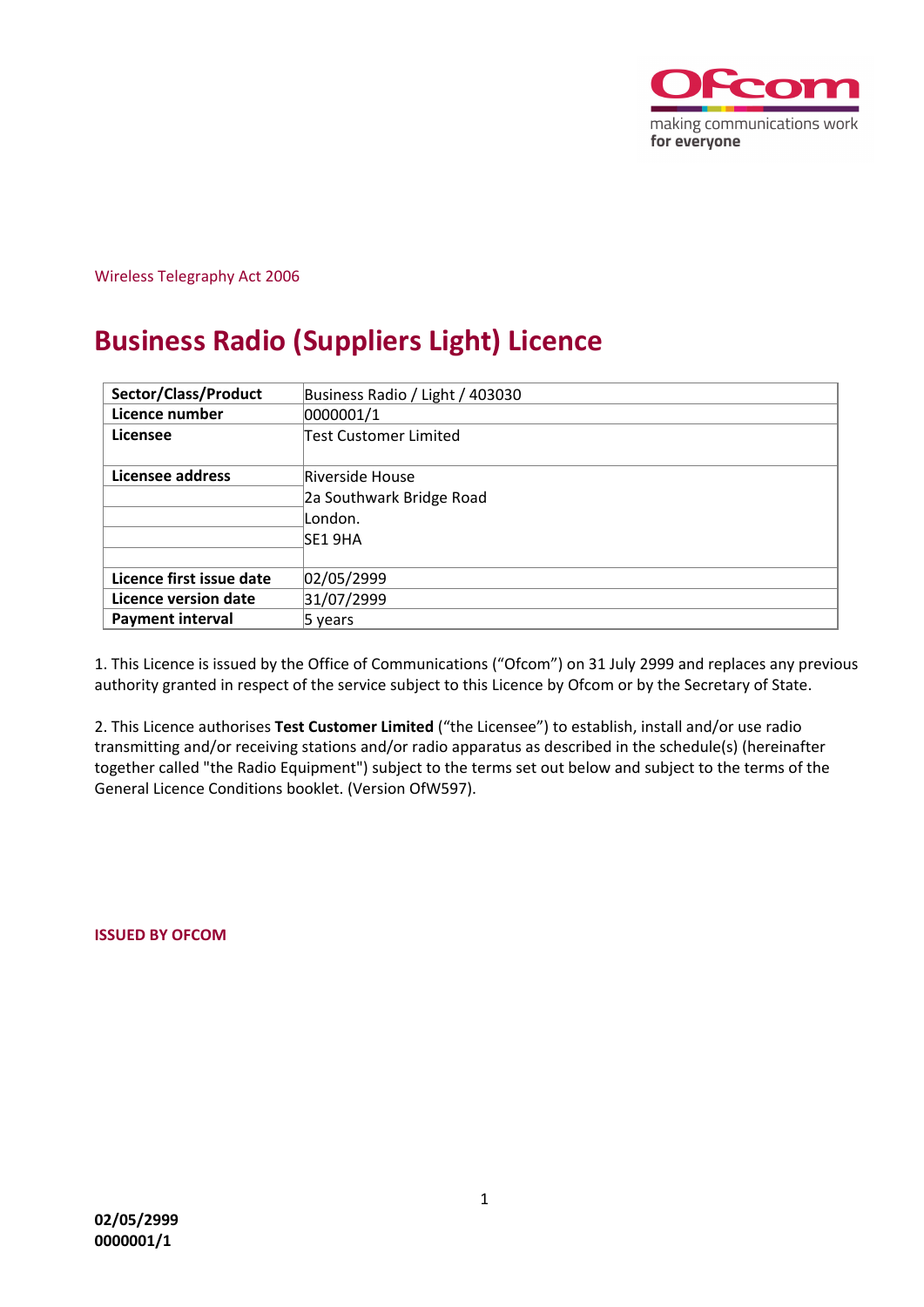

## Wireless Telegraphy Act 2006

# **Business Radio (Suppliers Light) Licence**

| Sector/Class/Product     | Business Radio / Light / 403030 |  |  |  |
|--------------------------|---------------------------------|--|--|--|
| Licence number           | 0000001/1                       |  |  |  |
| Licensee                 | Test Customer Limited           |  |  |  |
| Licensee address         | Riverside House                 |  |  |  |
|                          | 2a Southwark Bridge Road        |  |  |  |
|                          | London.                         |  |  |  |
|                          | SE1 9HA                         |  |  |  |
|                          |                                 |  |  |  |
| Licence first issue date | 02/05/2999                      |  |  |  |
| Licence version date     | 31/07/2999                      |  |  |  |
| <b>Payment interval</b>  | 5 years                         |  |  |  |

1. This Licence is issued by the Office of Communications ("Ofcom") on 31 July 2999 and replaces any previous authority granted in respect of the service subject to this Licence by Ofcom or by the Secretary of State.

2. This Licence authorises **Test Customer Limited** ("the Licensee") to establish, install and/or use radio transmitting and/or receiving stations and/or radio apparatus as described in the schedule(s) (hereinafter together called "the Radio Equipment") subject to the terms set out below and subject to the terms of the General Licence Conditions booklet. (Version OfW597).

**ISSUED BY OFCOM**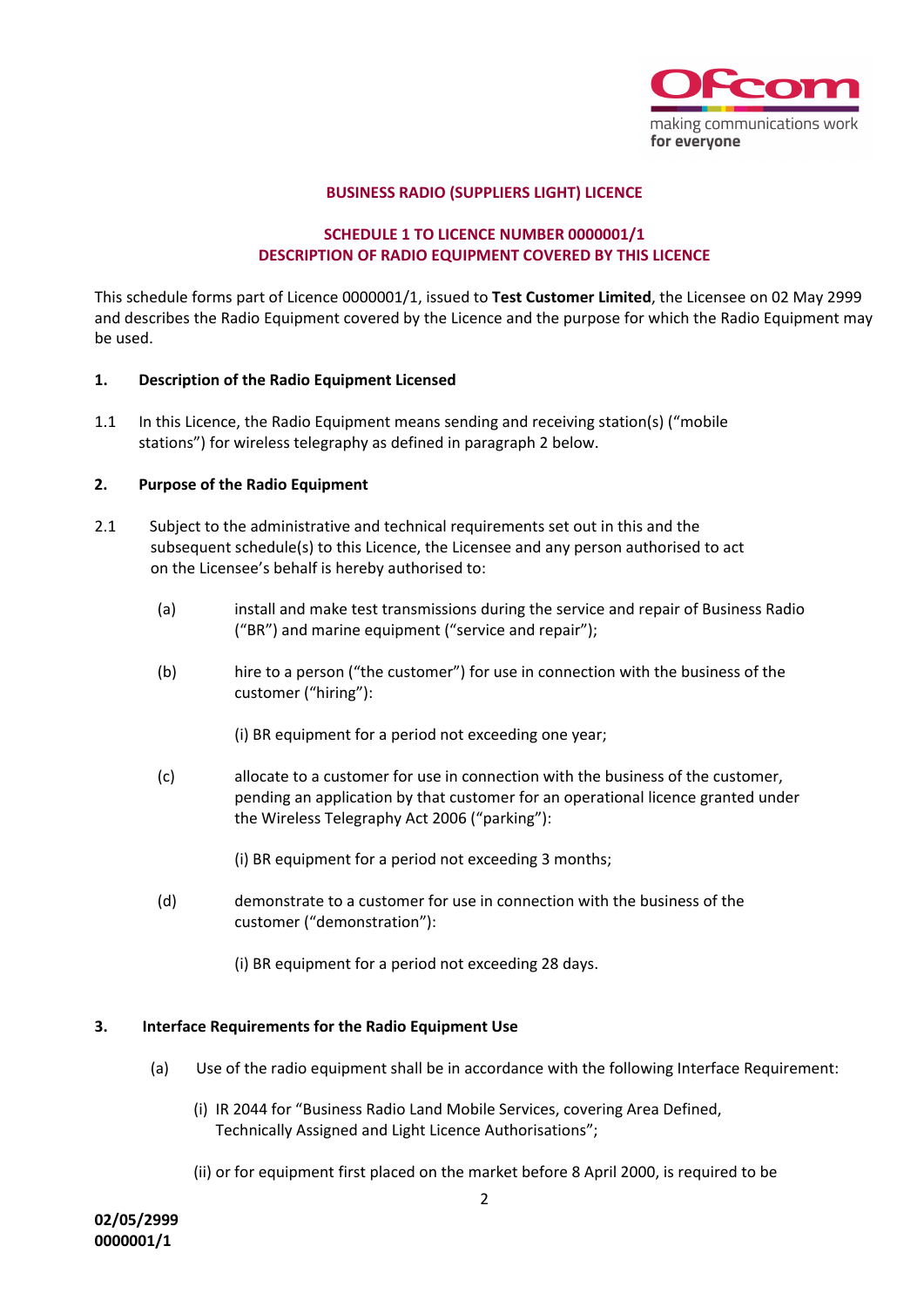

## **BUSINESS RADIO (SUPPLIERS LIGHT) LICENCE**

# **SCHEDULE 1 TO LICENCE NUMBER 0000001/1 DESCRIPTION OF RADIO EQUIPMENT COVERED BY THIS LICENCE**

This schedule forms part of Licence 0000001/1, issued to **Test Customer Limited**, the Licensee on 02 May 2999 and describes the Radio Equipment covered by the Licence and the purpose for which the Radio Equipment may be used.

## **1. Description of the Radio Equipment Licensed**

1.1 In this Licence, the Radio Equipment means sending and receiving station(s) ("mobile stations") for wireless telegraphy as defined in paragraph 2 below.

### **2. Purpose of the Radio Equipment**

- 2.1 Subject to the administrative and technical requirements set out in this and the subsequent schedule(s) to this Licence, the Licensee and any person authorised to act on the Licensee's behalf is hereby authorised to:
	- (a) install and make test transmissions during the service and repair of Business Radio ("BR") and marine equipment ("service and repair");
	- (b) hire to a person ("the customer") for use in connection with the business of the customer ("hiring"):
		- (i) BR equipment for a period not exceeding one year;
	- (c) allocate to a customer for use in connection with the business of the customer, pending an application by that customer for an operational licence granted under the Wireless Telegraphy Act 2006 ("parking"):
		- (i) BR equipment for a period not exceeding 3 months;
	- (d) demonstrate to a customer for use in connection with the business of the customer ("demonstration"):
		- (i) BR equipment for a period not exceeding 28 days.

# **3. Interface Requirements for the Radio Equipment Use**

- (a) Use of the radio equipment shall be in accordance with the following Interface Requirement:
	- (i) IR 2044 for "Business Radio Land Mobile Services, covering Area Defined, Technically Assigned and Light Licence Authorisations";
	- (ii) or for equipment first placed on the market before 8 April 2000, is required to be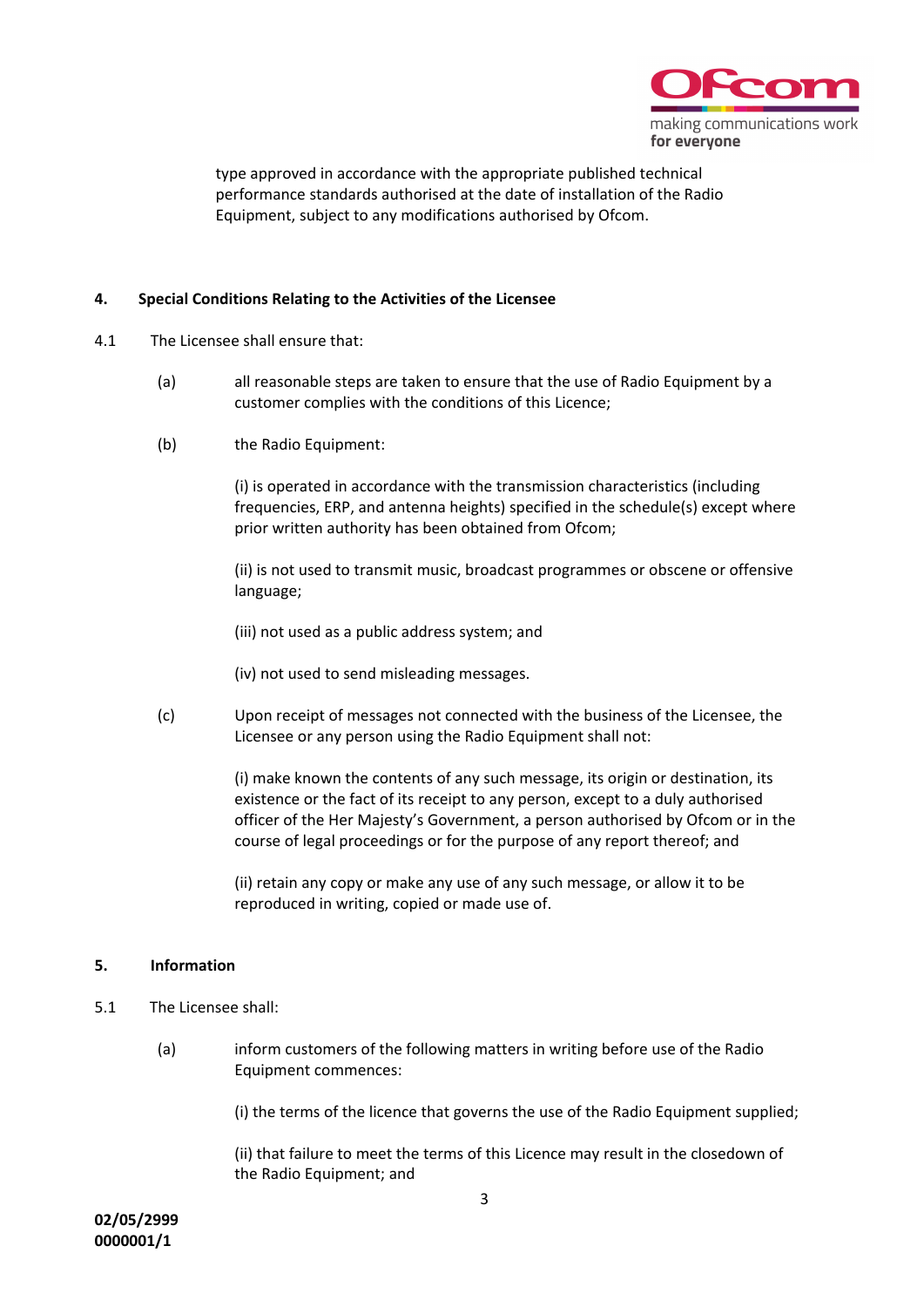

type approved in accordance with the appropriate published technical performance standards authorised at the date of installation of the Radio Equipment, subject to any modifications authorised by Ofcom.

## **4. Special Conditions Relating to the Activities of the Licensee**

- 4.1 The Licensee shall ensure that:
	- (a) all reasonable steps are taken to ensure that the use of Radio Equipment by a customer complies with the conditions of this Licence;
	- (b) the Radio Equipment:

(i) is operated in accordance with the transmission characteristics (including frequencies, ERP, and antenna heights) specified in the schedule(s) except where prior written authority has been obtained from Ofcom;

(ii) is not used to transmit music, broadcast programmes or obscene or offensive language;

- (iii) not used as a public address system; and
- (iv) not used to send misleading messages.
- (c) Upon receipt of messages not connected with the business of the Licensee, the Licensee or any person using the Radio Equipment shall not:

(i) make known the contents of any such message, its origin or destination, its existence or the fact of its receipt to any person, except to a duly authorised officer of the Her Majesty's Government, a person authorised by Ofcom or in the course of legal proceedings or for the purpose of any report thereof; and

(ii) retain any copy or make any use of any such message, or allow it to be reproduced in writing, copied or made use of.

#### **5. Information**

- 5.1 The Licensee shall:
	- (a) inform customers of the following matters in writing before use of the Radio Equipment commences:

(i) the terms of the licence that governs the use of the Radio Equipment supplied;

(ii) that failure to meet the terms of this Licence may result in the closedown of the Radio Equipment; and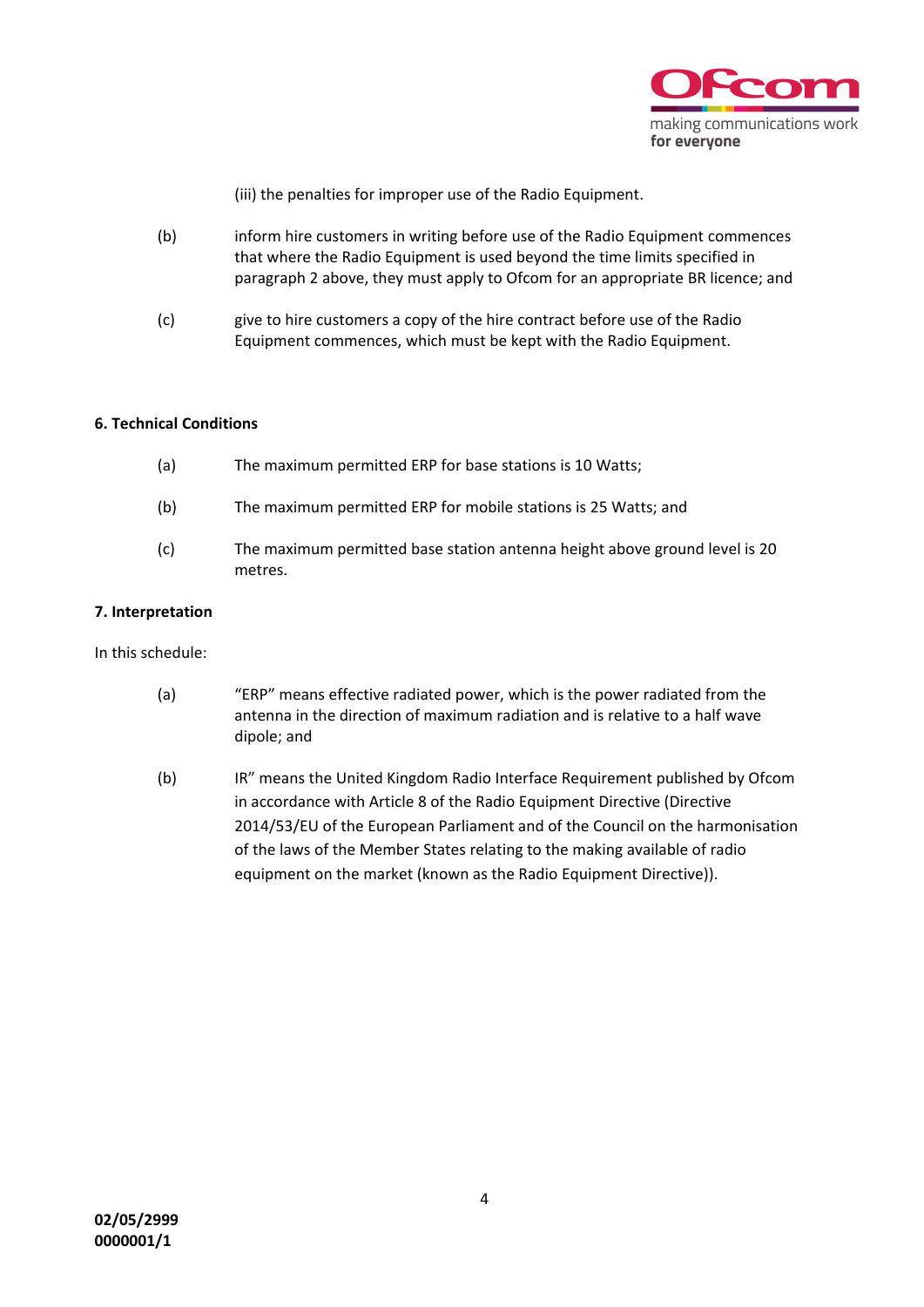

(iii) the penalties for improper use of the Radio Equipment.

- (b) inform hire customers in writing before use of the Radio Equipment commences that where the Radio Equipment is used beyond the time limits specified in paragraph 2 above, they must apply to Ofcom for an appropriate BR licence; and
- (c) give to hire customers a copy of the hire contract before use of the Radio Equipment commences, which must be kept with the Radio Equipment.

## **6. Technical Conditions**

| (a) | The maximum permitted ERP for base stations is 10 Watts;                              |
|-----|---------------------------------------------------------------------------------------|
| (b) | The maximum permitted ERP for mobile stations is 25 Watts; and                        |
| (c) | The maximum permitted base station antenna height above ground level is 20<br>metres. |

## **7. Interpretation**

In this schedule:

- (a) "ERP" means effective radiated power, which is the power radiated from the antenna in the direction of maximum radiation and is relative to a half wave dipole; and
- (b) IR" means the United Kingdom Radio Interface Requirement published by Ofcom in accordance with Article 8 of the Radio Equipment Directive (Directive 2014/53/EU of the European Parliament and of the Council on the harmonisation of the laws of the Member States relating to the making available of radio equipment on the market (known as the Radio Equipment Directive)).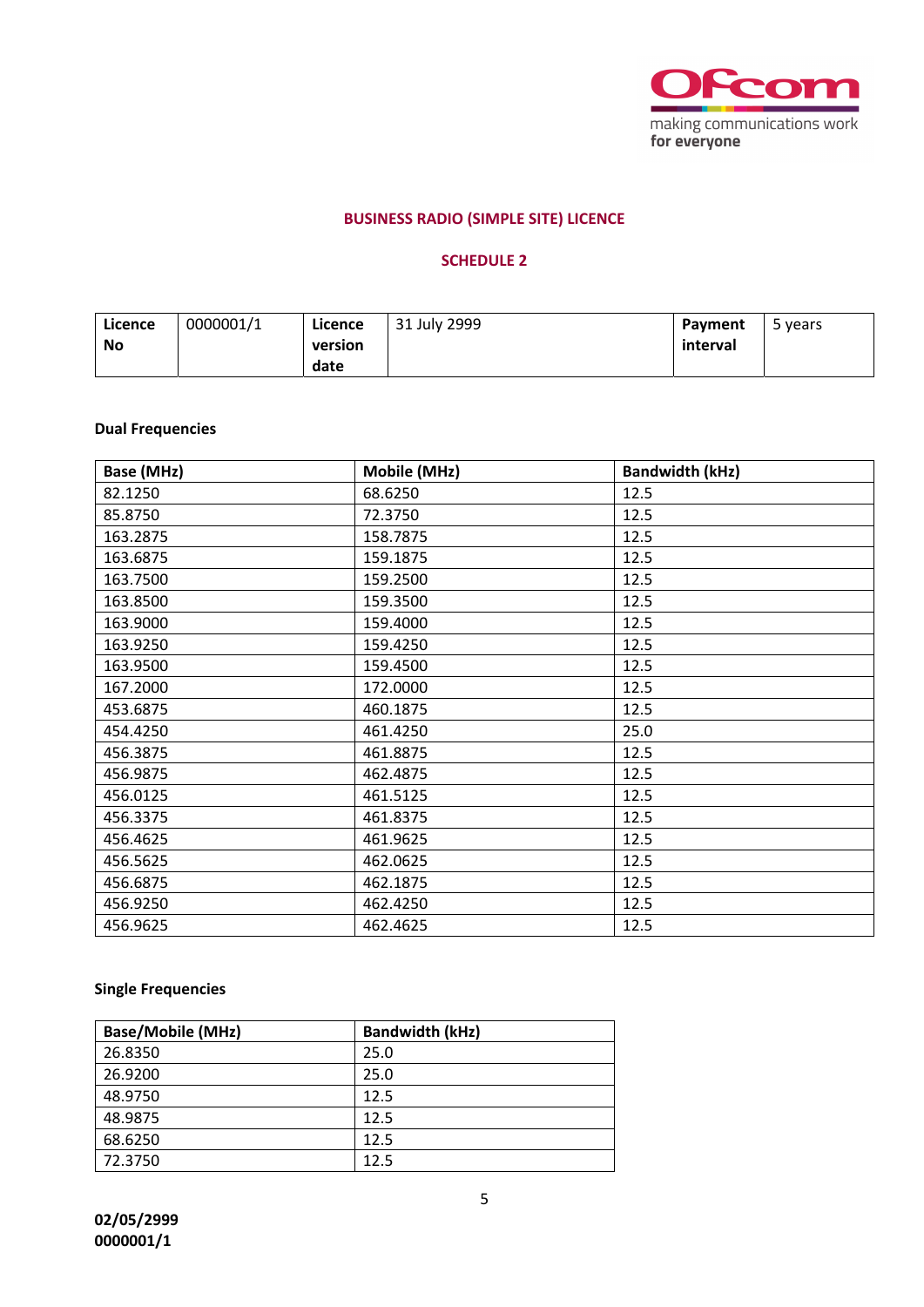

# **BUSINESS RADIO (SIMPLE SITE) LICENCE**

# **SCHEDULE 2**

| Licence<br>No | 0000001/1 | Licence<br>version | 31 July 2999 | Payment<br>interval | 5 years |
|---------------|-----------|--------------------|--------------|---------------------|---------|
|               |           | date               |              |                     |         |

# **Dual Frequencies**

| Base (MHz) | Mobile (MHz) | <b>Bandwidth (kHz)</b> |
|------------|--------------|------------------------|
| 82.1250    | 68.6250      | 12.5                   |
| 85.8750    | 72.3750      | 12.5                   |
| 163.2875   | 158.7875     | 12.5                   |
| 163.6875   | 159.1875     | 12.5                   |
| 163.7500   | 159.2500     | 12.5                   |
| 163.8500   | 159.3500     | 12.5                   |
| 163.9000   | 159.4000     | 12.5                   |
| 163.9250   | 159.4250     | 12.5                   |
| 163.9500   | 159.4500     | 12.5                   |
| 167.2000   | 172.0000     | 12.5                   |
| 453.6875   | 460.1875     | 12.5                   |
| 454.4250   | 461.4250     | 25.0                   |
| 456.3875   | 461.8875     | 12.5                   |
| 456.9875   | 462.4875     | 12.5                   |
| 456.0125   | 461.5125     | 12.5                   |
| 456.3375   | 461.8375     | 12.5                   |
| 456.4625   | 461.9625     | 12.5                   |
| 456.5625   | 462.0625     | 12.5                   |
| 456.6875   | 462.1875     | 12.5                   |
| 456.9250   | 462.4250     | 12.5                   |
| 456.9625   | 462.4625     | 12.5                   |

# **Single Frequencies**

| <b>Base/Mobile (MHz)</b> | <b>Bandwidth (kHz)</b> |
|--------------------------|------------------------|
| 26.8350                  | 25.0                   |
| 26.9200                  | 25.0                   |
| 48.9750                  | 12.5                   |
| 48.9875                  | 12.5                   |
| 68.6250                  | 12.5                   |
| 72.3750                  | 12.5                   |